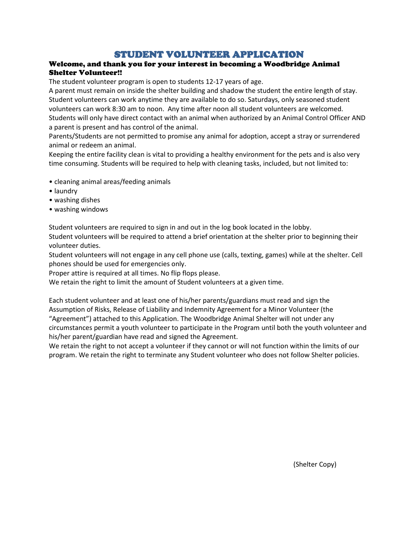# **STUDENT VOLUNTEER APPLICATION**<br>Welcome, and thank you for your interest in becoming a Woodbridge Animal Shelter Volunteer!!

The student volunteer program is open to students 12-17 years of age.

A parent must remain on inside the shelter building and shadow the student the entire length of stay. Student volunteers can work anytime they are available to do so. Saturdays, only seasoned student volunteers can work 8:30 am to noon. Any time after noon all student volunteers are welcomed. Students will only have direct contact with an animal when authorized by an Animal Control Officer AND a parent is present and has control of the animal.

Parents/Students are not permitted to promise any animal for adoption, accept a stray or surrendered animal or redeem an animal.

Keeping the entire facility clean is vital to providing a healthy environment for the pets and is also very time consuming. Students will be required to help with cleaning tasks, included, but not limited to:

- cleaning animal areas/feeding animals
- laundry
- washing dishes
- washing windows

Student volunteers are required to sign in and out in the log book located in the lobby. Student volunteers will be required to attend a brief orientation at the shelter prior to beginning their volunteer duties.

Student volunteers will not engage in any cell phone use (calls, texting, games) while at the shelter. Cell phones should be used for emergencies only.

Proper attire is required at all times. No flip flops please.

We retain the right to limit the amount of Student volunteers at a given time.

Each student volunteer and at least one of his/her parents/guardians must read and sign the Assumption of Risks, Release of Liability and Indemnity Agreement for a Minor Volunteer (the "Agreement") attached to this Application. The Woodbridge Animal Shelter will not under any circumstances permit a youth volunteer to participate in the Program until both the youth volunteer and his/her parent/guardian have read and signed the Agreement.

We retain the right to not accept a volunteer if they cannot or will not function within the limits of our program. We retain the right to terminate any Student volunteer who does not follow Shelter policies.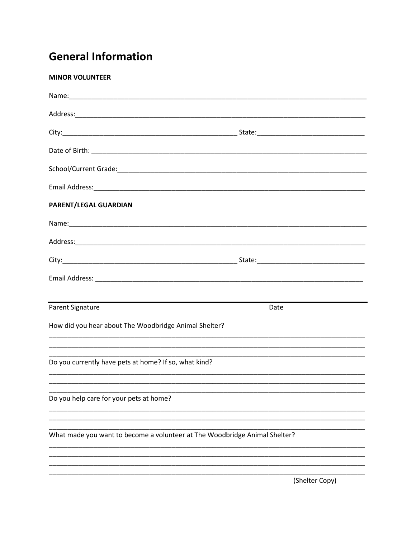# **General Information**

| <b>MINOR VOLUNTEER</b>                                                     |                |
|----------------------------------------------------------------------------|----------------|
|                                                                            |                |
|                                                                            |                |
|                                                                            |                |
|                                                                            |                |
|                                                                            |                |
|                                                                            |                |
| PARENT/LEGAL GUARDIAN                                                      |                |
|                                                                            |                |
|                                                                            |                |
|                                                                            |                |
|                                                                            |                |
|                                                                            |                |
| <b>Parent Signature</b>                                                    | Date           |
| How did you hear about The Woodbridge Animal Shelter?                      |                |
| Do you currently have pets at home? If so, what kind?                      |                |
| Do you help care for your pets at home?                                    |                |
| What made you want to become a volunteer at The Woodbridge Animal Shelter? |                |
|                                                                            |                |
|                                                                            | (Shelter Copy) |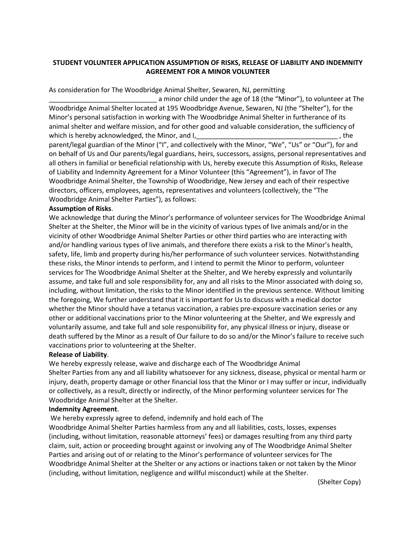### **STUDENT VOLUNTEER APPLICATION ASSUMPTION OF RISKS, RELEASE OF LIABILITY AND INDEMNITY AGREEMENT FOR A MINOR VOLUNTEER**

As consideration for The Woodbridge Animal Shelter, Sewaren, NJ, permitting

a minor child under the age of 18 (the "Minor"), to volunteer at The Woodbridge Animal Shelter located at 195 Woodbridge Avenue, Sewaren, NJ (the "Shelter"), for the Minor's personal satisfaction in working with The Woodbridge Animal Shelter in furtherance of its animal shelter and welfare mission, and for other good and valuable consideration, the sufficiency of which is hereby acknowledged, the Minor, and I, the same state of the state of the state of the state of the state of the state of the state of the state of the state of the state of the state of the state of the state of parent/legal guardian of the Minor ("I", and collectively with the Minor, "We", "Us" or "Our"), for and on behalf of Us and Our parents/legal guardians, heirs, successors, assigns, personal representatives and all others in familial or beneficial relationship with Us, hereby execute this Assumption of Risks, Release of Liability and Indemnity Agreement for a Minor Volunteer (this "Agreement"), in favor of The Woodbridge Animal Shelter, the Township of Woodbridge, New Jersey and each of their respective directors, officers, employees, agents, representatives and volunteers (collectively, the "The Woodbridge Animal Shelter Parties"), as follows:

### **Assumption of Risks**.

We acknowledge that during the Minor's performance of volunteer services for The Woodbridge Animal Shelter at the Shelter, the Minor will be in the vicinity of various types of live animals and/or in the vicinity of other Woodbridge Animal Shelter Parties or other third parties who are interacting with and/or handling various types of live animals, and therefore there exists a risk to the Minor's health, safety, life, limb and property during his/her performance of such volunteer services. Notwithstanding these risks, the Minor intends to perform, and I intend to permit the Minor to perform, volunteer services for The Woodbridge Animal Shelter at the Shelter, and We hereby expressly and voluntarily assume, and take full and sole responsibility for, any and all risks to the Minor associated with doing so, including, without limitation, the risks to the Minor identified in the previous sentence. Without limiting the foregoing, We further understand that it is important for Us to discuss with a medical doctor whether the Minor should have a tetanus vaccination, a rabies pre-exposure vaccination series or any other or additional vaccinations prior to the Minor volunteering at the Shelter, and We expressly and voluntarily assume, and take full and sole responsibility for, any physical illness or injury, disease or death suffered by the Minor as a result of Our failure to do so and/or the Minor's failure to receive such vaccinations prior to volunteering at the Shelter.

#### **Release of Liability**.

We hereby expressly release, waive and discharge each of The Woodbridge Animal Shelter Parties from any and all liability whatsoever for any sickness, disease, physical or mental harm or injury, death, property damage or other financial loss that the Minor or I may suffer or incur, individually or collectively, as a result, directly or indirectly, of the Minor performing volunteer services for The Woodbridge Animal Shelter at the Shelter.

#### **Indemnity Agreement**.

We hereby expressly agree to defend, indemnify and hold each of The

Woodbridge Animal Shelter Parties harmless from any and all liabilities, costs, losses, expenses (including, without limitation, reasonable attorneys' fees) or damages resulting from any third party claim, suit, action or proceeding brought against or involving any of The Woodbridge Animal Shelter Parties and arising out of or relating to the Minor's performance of volunteer services for The Woodbridge Animal Shelter at the Shelter or any actions or inactions taken or not taken by the Minor (including, without limitation, negligence and willful misconduct) while at the Shelter.

(Shelter Copy)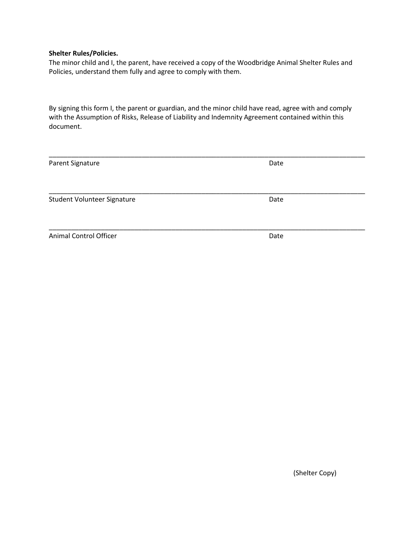#### **Shelter Rules/Policies.**

The minor child and I, the parent, have received a copy of the Woodbridge Animal Shelter Rules and Policies, understand them fully and agree to comply with them.

By signing this form I, the parent or guardian, and the minor child have read, agree with and comply with the Assumption of Risks, Release of Liability and Indemnity Agreement contained within this document.

| Parent Signature            | Date |
|-----------------------------|------|
|                             |      |
|                             |      |
|                             |      |
| Student Volunteer Signature | Date |
|                             |      |
|                             |      |
| Animal Control Officer      | Date |
|                             |      |

(Shelter Copy)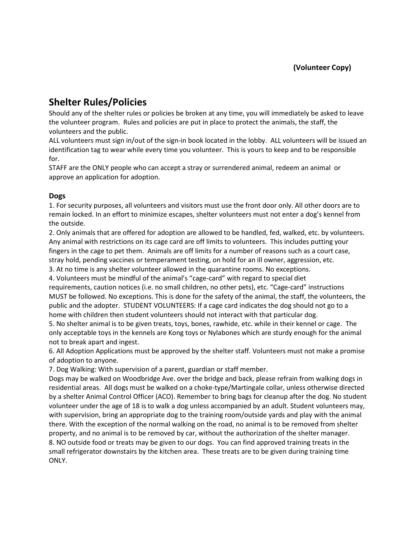## **Shelter Rules/Policies**

Should any of the shelter rules or policies be broken at any time, you will immediately be asked to leave the volunteer program. Rules and policies are put in place to protect the animals, the staff, the volunteers and the public.

ALL volunteers must sign in/out of the sign-in book located in the lobby. ALL volunteers will be issued an identification tag to wear while every time you volunteer. This is yours to keep and to be responsible for.

STAFF are the ONLY people who can accept a stray or surrendered animal, redeem an animal or approve an application for adoption.

### **Dogs**

1. For security purposes, all volunteers and visitors must use the front door only. All other doors are to remain locked. In an effort to minimize escapes, shelter volunteers must not enter a dog's kennel from the outside.

2. Only animals that are offered for adoption are allowed to be handled, fed, walked, etc. by volunteers. Any animal with restrictions on its cage card are off limits to volunteers. This includes putting your fingers in the cage to pet them. Animals are off limits for a number of reasons such as a court case, stray hold, pending vaccines or temperament testing, on hold for an ill owner, aggression, etc.

3. At no time is any shelter volunteer allowed in the quarantine rooms. No exceptions.

4. Volunteers must be mindful of the animal's "cage-card" with regard to special diet

requirements, caution notices (i.e. no small children, no other pets), etc. "Cage-card" instructions MUST be followed. No exceptions. This is done for the safety of the animal, the staff, the volunteers, the public and the adopter. STUDENT VOLUNTEERS: If a cage card indicates the dog should not go to a home with children then student volunteers should not interact with that particular dog.

5. No shelter animal is to be given treats, toys, bones, rawhide, etc. while in their kennel or cage. The only acceptable toys in the kennels are Kong toys or Nylabones which are sturdy enough for the animal not to break apart and ingest.

6. All Adoption Applications must be approved by the shelter staff. Volunteers must not make a promise of adoption to anyone.

7. Dog Walking: With supervision of a parent, guardian or staff member.

Dogs may be walked on Woodbridge Ave. over the bridge and back, please refrain from walking dogs in residential areas. All dogs must be walked on a choke-type/Martingale collar, unless otherwise directed by a shelter Animal Control Officer (ACO). Remember to bring bags for cleanup after the dog. No student volunteer under the age of 18 is to walk a dog unless accompanied by an adult. Student volunteers may, with supervision, bring an appropriate dog to the training room/outside yards and play with the animal there. With the exception of the normal walking on the road, no animal is to be removed from shelter property, and no animal is to be removed by car, without the authorization of the shelter manager. 8. NO outside food or treats may be given to our dogs. You can find approved training treats in the small refrigerator downstairs by the kitchen area. These treats are to be given during training time ONLY.